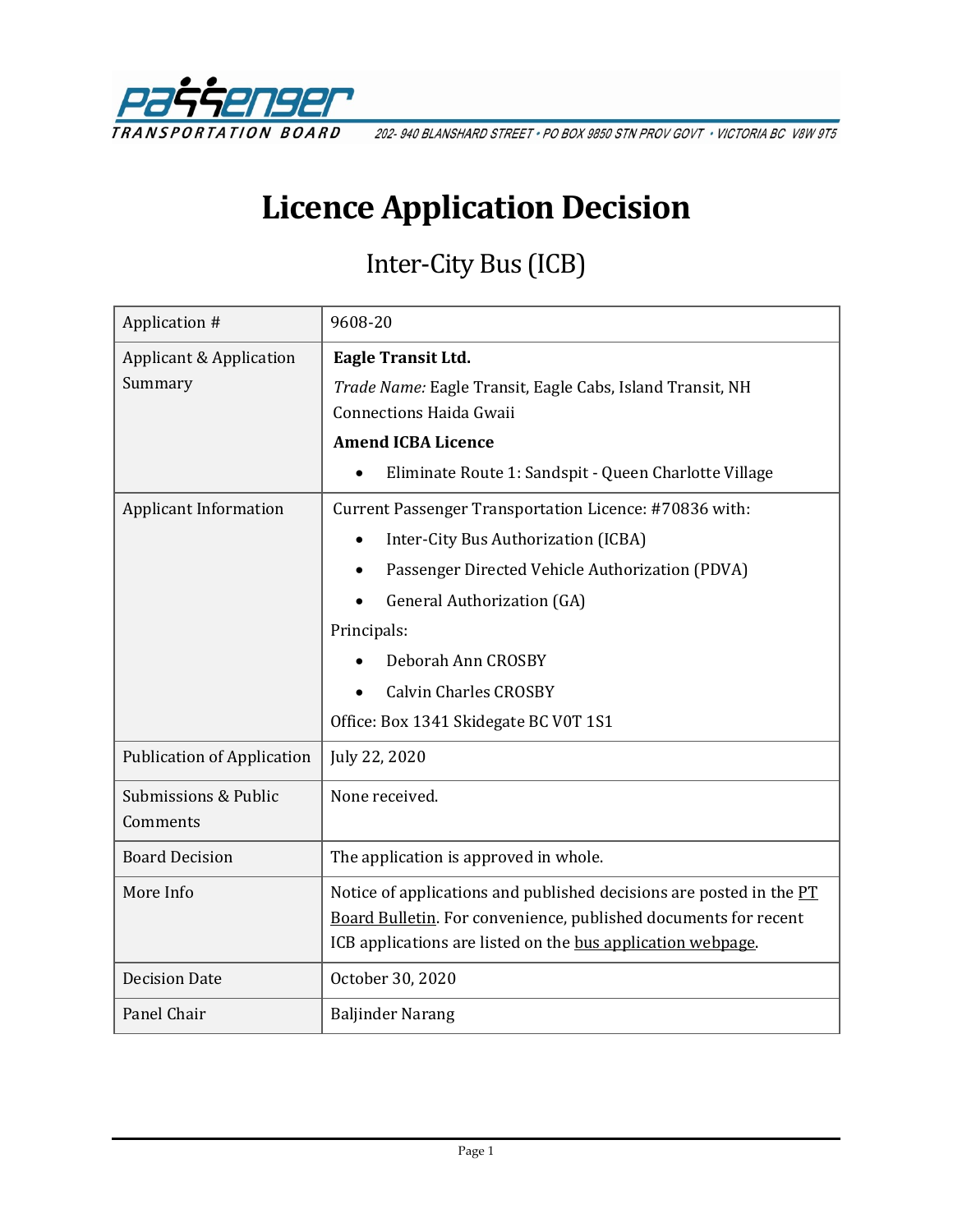

202-940 BLANSHARD STREET · PO BOX 9850 STN PROV GOVT · VICTORIA BC V8W 9T5

# **Licence Application Decision**

# Inter-City Bus (ICB)

| Application #                     | 9608-20                                                             |
|-----------------------------------|---------------------------------------------------------------------|
| Applicant & Application           | Eagle Transit Ltd.                                                  |
| Summary                           | Trade Name: Eagle Transit, Eagle Cabs, Island Transit, NH           |
|                                   | <b>Connections Haida Gwaii</b>                                      |
|                                   | <b>Amend ICBA Licence</b>                                           |
|                                   | Eliminate Route 1: Sandspit - Queen Charlotte Village               |
| <b>Applicant Information</b>      | Current Passenger Transportation Licence: #70836 with:              |
|                                   | Inter-City Bus Authorization (ICBA)                                 |
|                                   | Passenger Directed Vehicle Authorization (PDVA)                     |
|                                   | <b>General Authorization (GA)</b>                                   |
|                                   | Principals:                                                         |
|                                   | Deborah Ann CROSBY                                                  |
|                                   | <b>Calvin Charles CROSBY</b>                                        |
|                                   | Office: Box 1341 Skidegate BC V0T 1S1                               |
| <b>Publication of Application</b> | July 22, 2020                                                       |
| Submissions & Public              | None received.                                                      |
| Comments                          |                                                                     |
| <b>Board Decision</b>             | The application is approved in whole.                               |
| More Info                         | Notice of applications and published decisions are posted in the PT |
|                                   | Board Bulletin. For convenience, published documents for recent     |
|                                   | ICB applications are listed on the bus application webpage.         |
| <b>Decision Date</b>              | October 30, 2020                                                    |
| Panel Chair                       | <b>Baljinder Narang</b>                                             |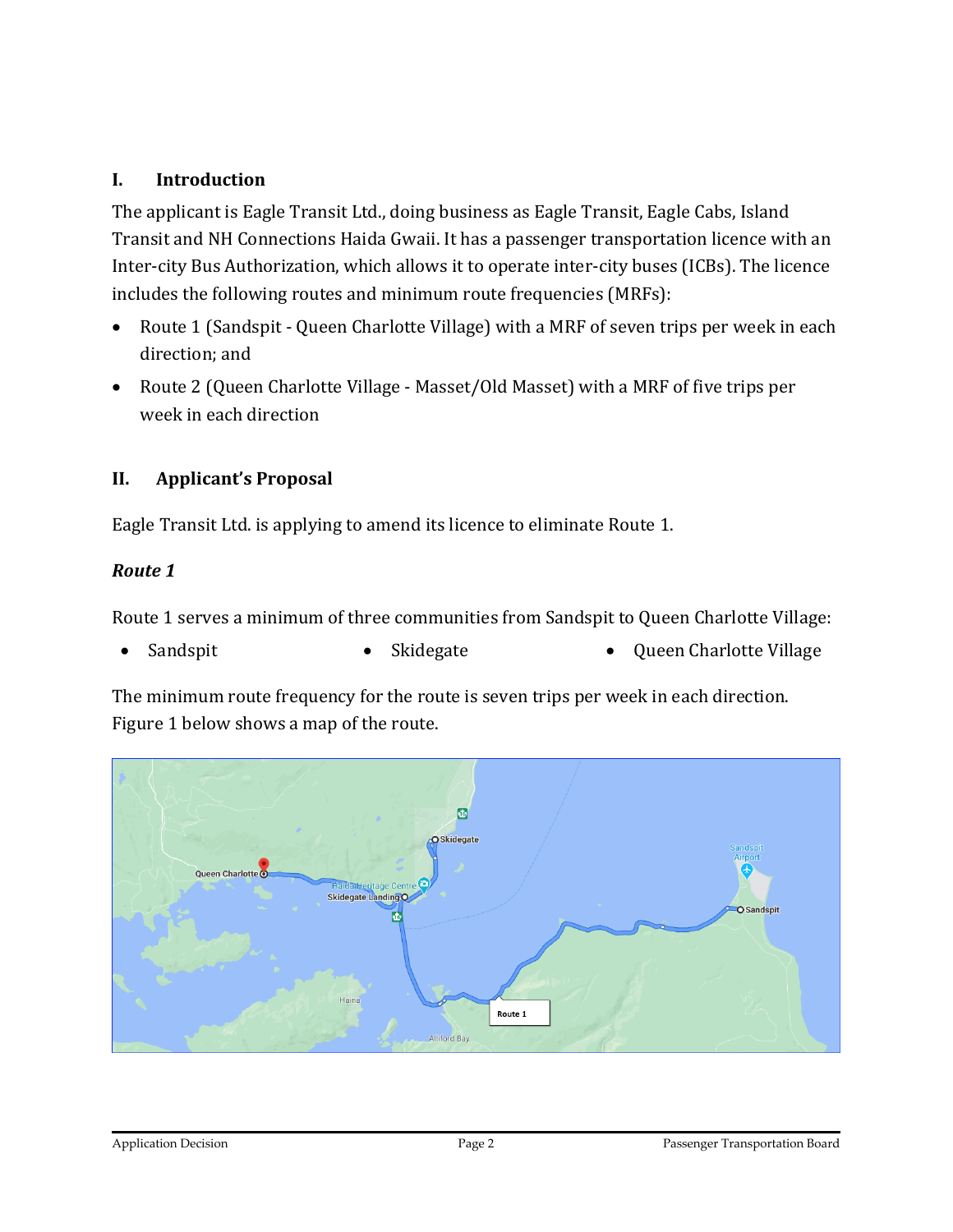#### **I. Introduction**

The applicant is Eagle Transit Ltd., doing business as Eagle Transit, Eagle Cabs, Island Transit and NH Connections Haida Gwaii. It has a passenger transportation licence with an Inter-city Bus Authorization, which allows it to operate inter-city buses (ICBs). The licence includes the following routes and minimum route frequencies (MRFs):

- Route 1 (Sandspit Queen Charlotte Village) with a MRF of seven trips per week in each direction; and
- Route 2 (Queen Charlotte Village Masset/Old Masset) with a MRF of five trips per week in each direction

#### **II. Applicant's Proposal**

Eagle Transit Ltd. is applying to amend its licence to eliminate Route 1.

#### *Route 1*

Route 1 serves a minimum of three communities from Sandspit to Queen Charlotte Village:

• Sandspit • Skidegate • Presenting • Skidegate • Queen Charlotte Village

The minimum route frequency for the route is seven trips per week in each direction. Figure 1 below shows a map of the route.

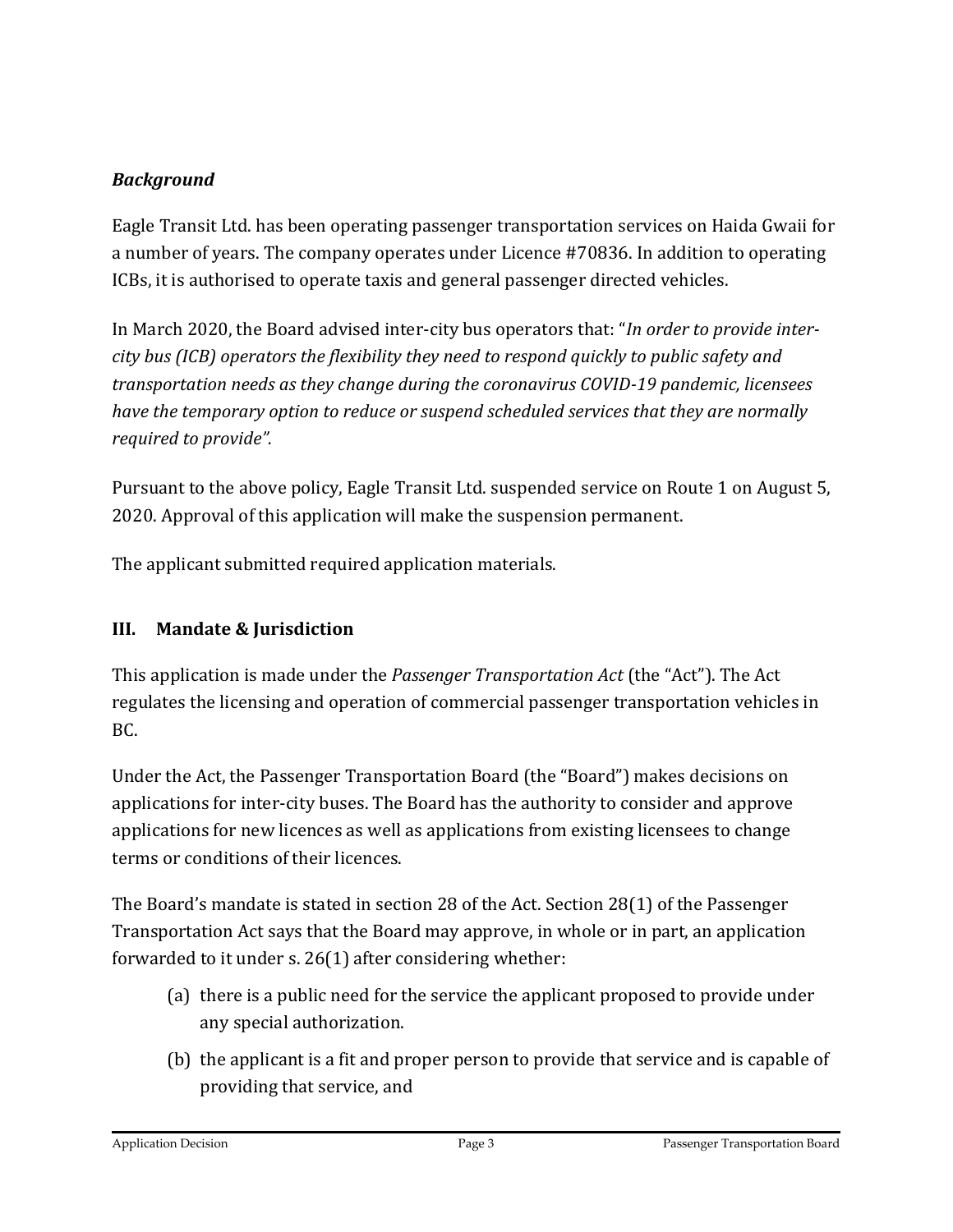#### *Background*

Eagle Transit Ltd. has been operating passenger transportation services on Haida Gwaii for a number of years. The company operates under Licence #70836. In addition to operating ICBs, it is authorised to operate taxis and general passenger directed vehicles.

In March 2020, the Board advised inter-city bus operators that: "*In order to provide intercity bus (ICB) operators the flexibility they need to respond quickly to public safety and transportation needs as they change during the coronavirus COVID-19 pandemic, licensees have the temporary option to reduce or suspend scheduled services that they are normally required to provide".* 

Pursuant to the above policy, Eagle Transit Ltd. suspended service on Route 1 on August 5, 2020. Approval of this application will make the suspension permanent.

The applicant submitted required application materials.

#### **III. Mandate & Jurisdiction**

This application is made under the *Passenger Transportation Act* (the "Act"). The Act regulates the licensing and operation of commercial passenger transportation vehicles in BC.

Under the Act, the Passenger Transportation Board (the "Board") makes decisions on applications for inter-city buses. The Board has the authority to consider and approve applications for new licences as well as applications from existing licensees to change terms or conditions of their licences.

The Board's mandate is stated in section 28 of the Act. Section 28(1) of the Passenger Transportation Act says that the Board may approve, in whole or in part, an application forwarded to it under s. 26(1) after considering whether:

- (a) there is a public need for the service the applicant proposed to provide under any special authorization.
- (b) the applicant is a fit and proper person to provide that service and is capable of providing that service, and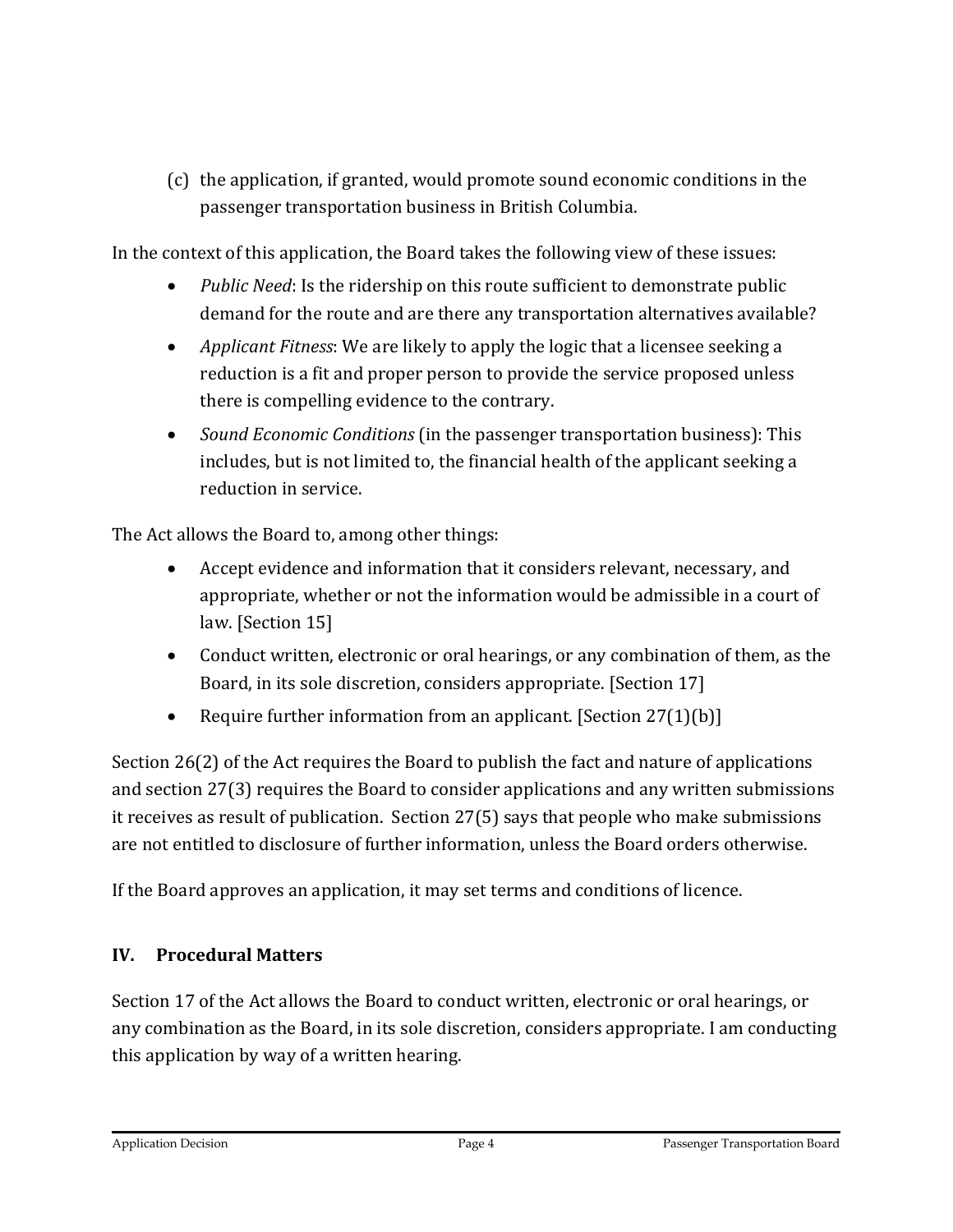(c) the application, if granted, would promote sound economic conditions in the passenger transportation business in British Columbia.

In the context of this application, the Board takes the following view of these issues:

- *Public Need*: Is the ridership on this route sufficient to demonstrate public demand for the route and are there any transportation alternatives available?
- *Applicant Fitness*: We are likely to apply the logic that a licensee seeking a reduction is a fit and proper person to provide the service proposed unless there is compelling evidence to the contrary.
- *Sound Economic Conditions* (in the passenger transportation business): This includes, but is not limited to, the financial health of the applicant seeking a reduction in service.

The Act allows the Board to, among other things:

- Accept evidence and information that it considers relevant, necessary, and appropriate, whether or not the information would be admissible in a court of law. [Section 15]
- Conduct written, electronic or oral hearings, or any combination of them, as the Board, in its sole discretion, considers appropriate. [Section 17]
- Require further information from an applicant. [Section 27(1)(b)]

Section 26(2) of the Act requires the Board to publish the fact and nature of applications and section 27(3) requires the Board to consider applications and any written submissions it receives as result of publication. Section 27(5) says that people who make submissions are not entitled to disclosure of further information, unless the Board orders otherwise.

If the Board approves an application, it may set terms and conditions of licence.

#### **IV. Procedural Matters**

Section 17 of the Act allows the Board to conduct written, electronic or oral hearings, or any combination as the Board, in its sole discretion, considers appropriate. I am conducting this application by way of a written hearing.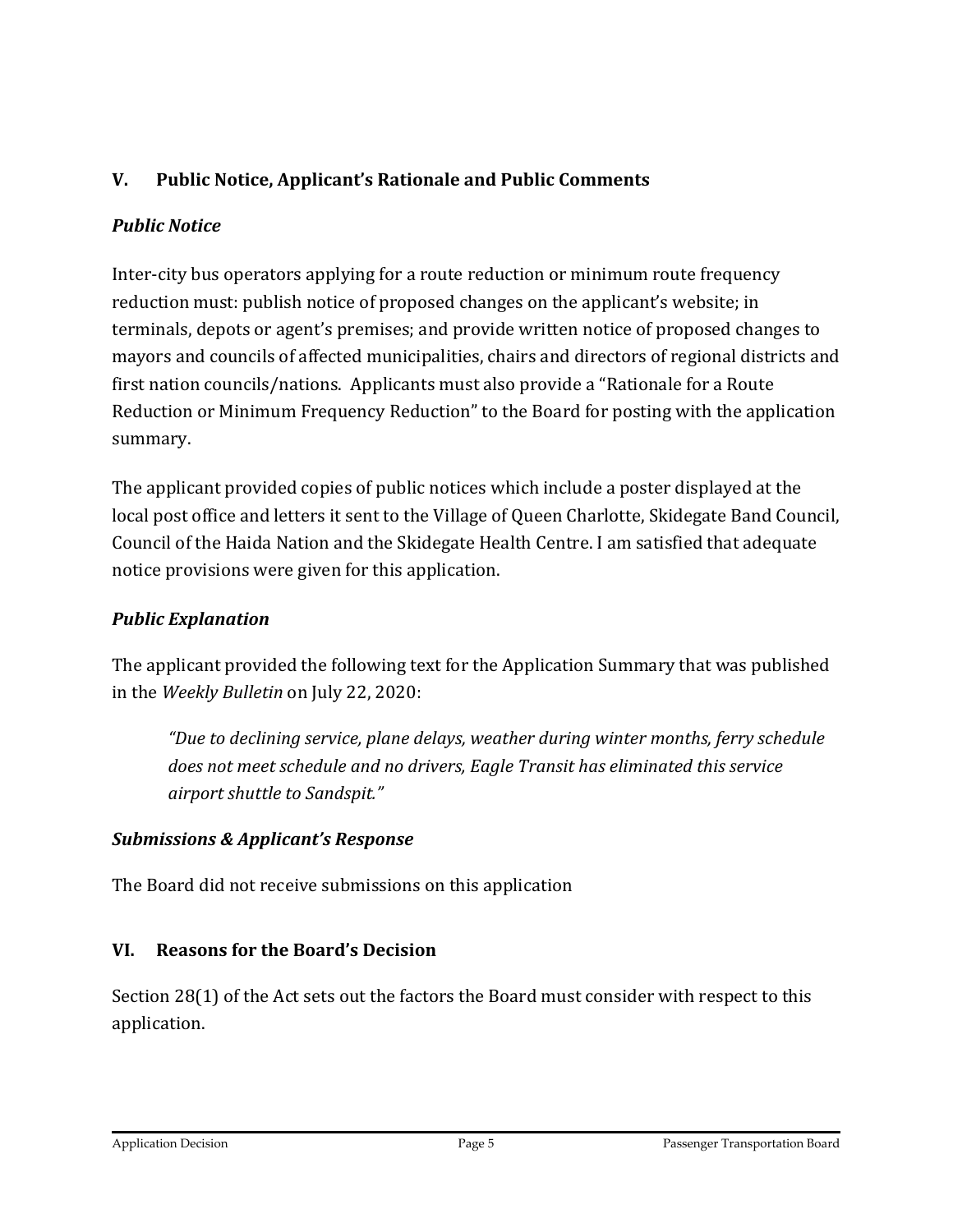#### **V. Public Notice, Applicant's Rationale and Public Comments**

#### *Public Notice*

Inter-city bus operators applying for a route reduction or minimum route frequency reduction must: publish notice of proposed changes on the applicant's website; in terminals, depots or agent's premises; and provide written notice of proposed changes to mayors and councils of affected municipalities, chairs and directors of regional districts and first nation councils/nations. Applicants must also provide a "Rationale for a Route Reduction or Minimum Frequency Reduction" to the Board for posting with the application summary.

The applicant provided copies of public notices which include a poster displayed at the local post office and letters it sent to the Village of Queen Charlotte, Skidegate Band Council, Council of the Haida Nation and the Skidegate Health Centre. I am satisfied that adequate notice provisions were given for this application.

#### *Public Explanation*

The applicant provided the following text for the Application Summary that was published in the *Weekly Bulletin* on July 22, 2020:

*"Due to declining service, plane delays, weather during winter months, ferry schedule does not meet schedule and no drivers, Eagle Transit has eliminated this service airport shuttle to Sandspit."*

#### *Submissions & Applicant's Response*

The Board did not receive submissions on this application

#### **VI. Reasons for the Board's Decision**

Section 28(1) of the Act sets out the factors the Board must consider with respect to this application.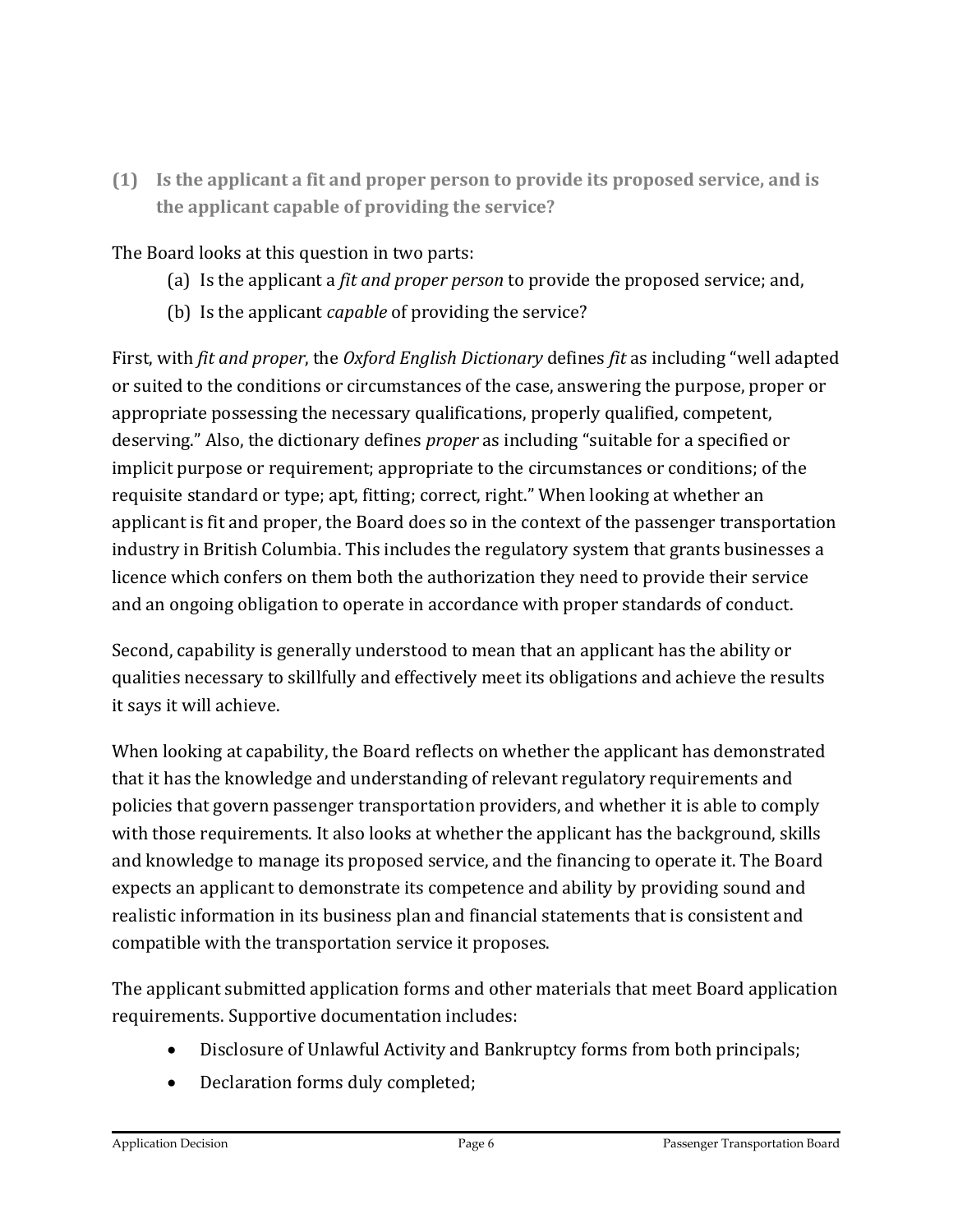**(1) Is the applicant a fit and proper person to provide its proposed service, and is the applicant capable of providing the service?**

The Board looks at this question in two parts:

- (a) Is the applicant a *fit and proper person* to provide the proposed service; and,
- (b) Is the applicant *capable* of providing the service?

First, with *fit and proper*, the *Oxford English Dictionary* defines *fit* as including "well adapted or suited to the conditions or circumstances of the case, answering the purpose, proper or appropriate possessing the necessary qualifications, properly qualified, competent, deserving." Also, the dictionary defines *proper* as including "suitable for a specified or implicit purpose or requirement; appropriate to the circumstances or conditions; of the requisite standard or type; apt, fitting; correct, right." When looking at whether an applicant is fit and proper, the Board does so in the context of the passenger transportation industry in British Columbia. This includes the regulatory system that grants businesses a licence which confers on them both the authorization they need to provide their service and an ongoing obligation to operate in accordance with proper standards of conduct.

Second, capability is generally understood to mean that an applicant has the ability or qualities necessary to skillfully and effectively meet its obligations and achieve the results it says it will achieve.

When looking at capability, the Board reflects on whether the applicant has demonstrated that it has the knowledge and understanding of relevant regulatory requirements and policies that govern passenger transportation providers, and whether it is able to comply with those requirements. It also looks at whether the applicant has the background, skills and knowledge to manage its proposed service, and the financing to operate it. The Board expects an applicant to demonstrate its competence and ability by providing sound and realistic information in its business plan and financial statements that is consistent and compatible with the transportation service it proposes.

The applicant submitted application forms and other materials that meet Board application requirements. Supportive documentation includes:

- Disclosure of Unlawful Activity and Bankruptcy forms from both principals;
- Declaration forms duly completed;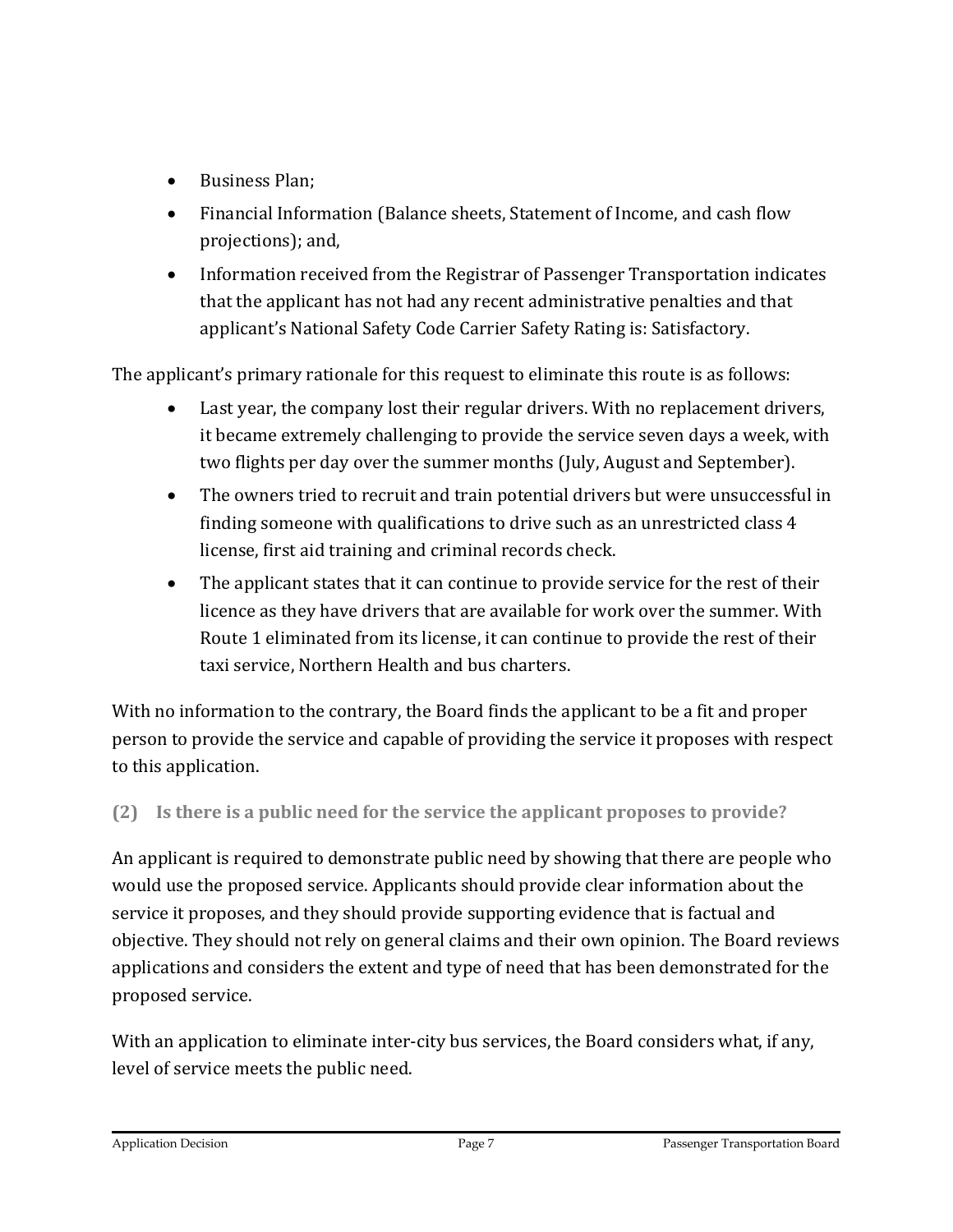- Business Plan;
- Financial Information (Balance sheets, Statement of Income, and cash flow projections); and,
- Information received from the Registrar of Passenger Transportation indicates that the applicant has not had any recent administrative penalties and that applicant's National Safety Code Carrier Safety Rating is: Satisfactory.

The applicant's primary rationale for this request to eliminate this route is as follows:

- Last year, the company lost their regular drivers. With no replacement drivers, it became extremely challenging to provide the service seven days a week, with two flights per day over the summer months (July, August and September).
- The owners tried to recruit and train potential drivers but were unsuccessful in finding someone with qualifications to drive such as an unrestricted class 4 license, first aid training and criminal records check.
- The applicant states that it can continue to provide service for the rest of their licence as they have drivers that are available for work over the summer. With Route 1 eliminated from its license, it can continue to provide the rest of their taxi service, Northern Health and bus charters.

With no information to the contrary, the Board finds the applicant to be a fit and proper person to provide the service and capable of providing the service it proposes with respect to this application.

#### **(2) Is there is a public need for the service the applicant proposes to provide?**

An applicant is required to demonstrate public need by showing that there are people who would use the proposed service. Applicants should provide clear information about the service it proposes, and they should provide supporting evidence that is factual and objective. They should not rely on general claims and their own opinion. The Board reviews applications and considers the extent and type of need that has been demonstrated for the proposed service.

With an application to eliminate inter-city bus services, the Board considers what, if any, level of service meets the public need.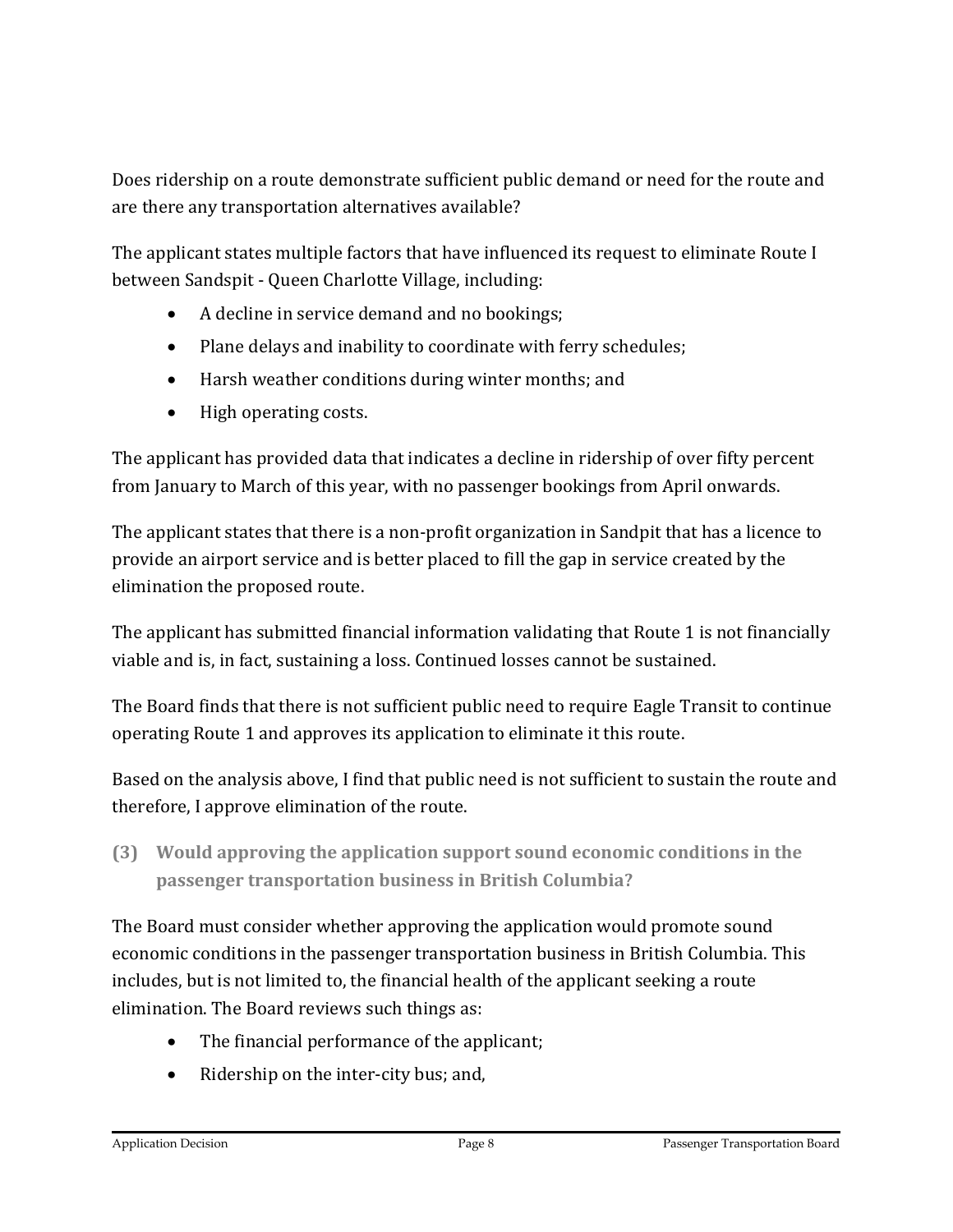Does ridership on a route demonstrate sufficient public demand or need for the route and are there any transportation alternatives available?

The applicant states multiple factors that have influenced its request to eliminate Route I between Sandspit - Queen Charlotte Village, including:

- A decline in service demand and no bookings;
- Plane delays and inability to coordinate with ferry schedules;
- Harsh weather conditions during winter months; and
- High operating costs.

The applicant has provided data that indicates a decline in ridership of over fifty percent from January to March of this year, with no passenger bookings from April onwards.

The applicant states that there is a non-profit organization in Sandpit that has a licence to provide an airport service and is better placed to fill the gap in service created by the elimination the proposed route.

The applicant has submitted financial information validating that Route 1 is not financially viable and is, in fact, sustaining a loss. Continued losses cannot be sustained.

The Board finds that there is not sufficient public need to require Eagle Transit to continue operating Route 1 and approves its application to eliminate it this route.

Based on the analysis above, I find that public need is not sufficient to sustain the route and therefore, I approve elimination of the route.

**(3) Would approving the application support sound economic conditions in the passenger transportation business in British Columbia?**

The Board must consider whether approving the application would promote sound economic conditions in the passenger transportation business in British Columbia. This includes, but is not limited to, the financial health of the applicant seeking a route elimination. The Board reviews such things as:

- The financial performance of the applicant;
- Ridership on the inter-city bus; and,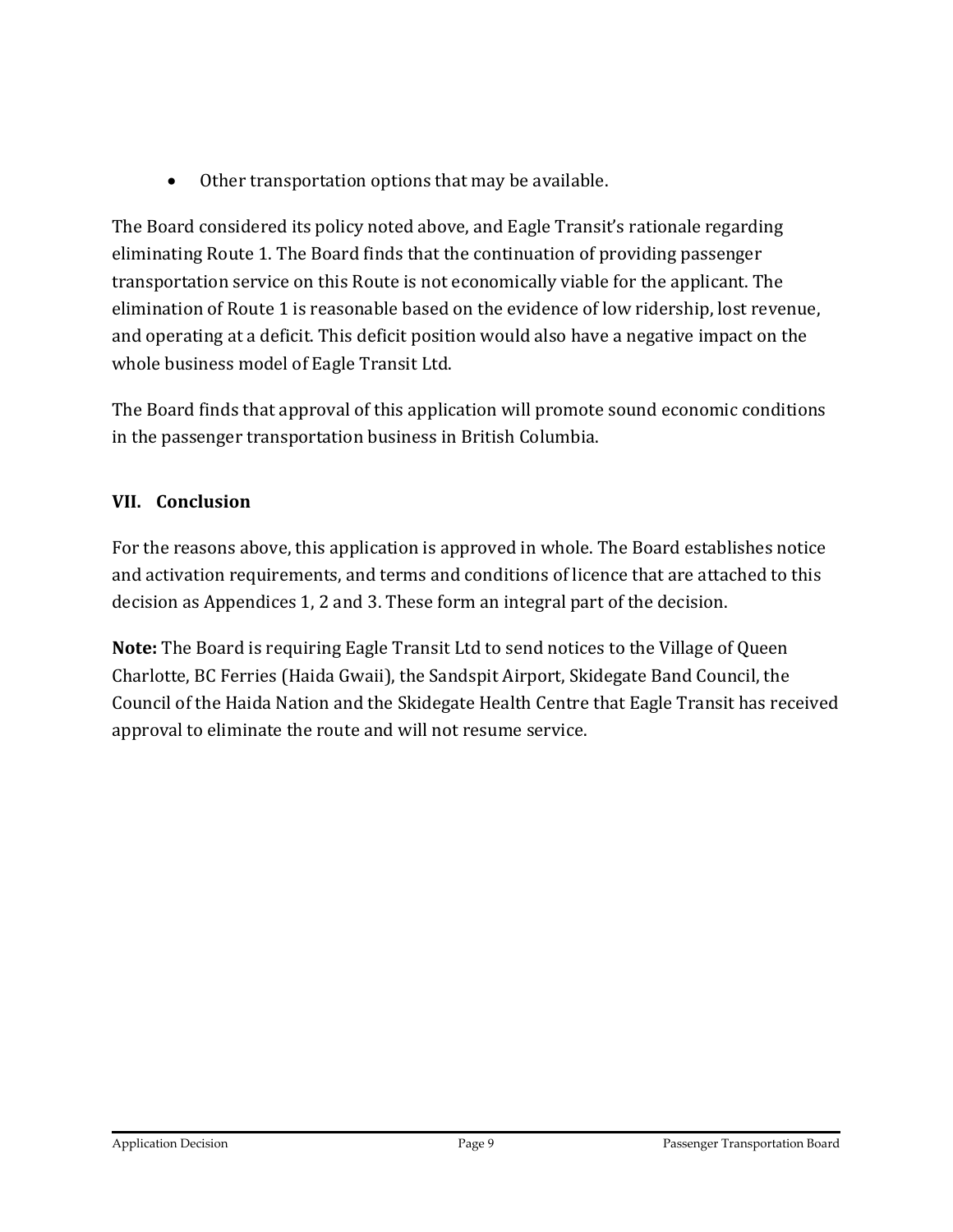• Other transportation options that may be available.

The Board considered its policy noted above, and Eagle Transit's rationale regarding eliminating Route 1. The Board finds that the continuation of providing passenger transportation service on this Route is not economically viable for the applicant. The elimination of Route 1 is reasonable based on the evidence of low ridership, lost revenue, and operating at a deficit. This deficit position would also have a negative impact on the whole business model of Eagle Transit Ltd.

The Board finds that approval of this application will promote sound economic conditions in the passenger transportation business in British Columbia.

#### **VII. Conclusion**

For the reasons above, this application is approved in whole. The Board establishes notice and activation requirements, and terms and conditions of licence that are attached to this decision as Appendices 1, 2 and 3. These form an integral part of the decision.

**Note:** The Board is requiring Eagle Transit Ltd to send notices to the Village of Queen Charlotte, BC Ferries (Haida Gwaii), the Sandspit Airport, Skidegate Band Council, the Council of the Haida Nation and the Skidegate Health Centre that Eagle Transit has received approval to eliminate the route and will not resume service.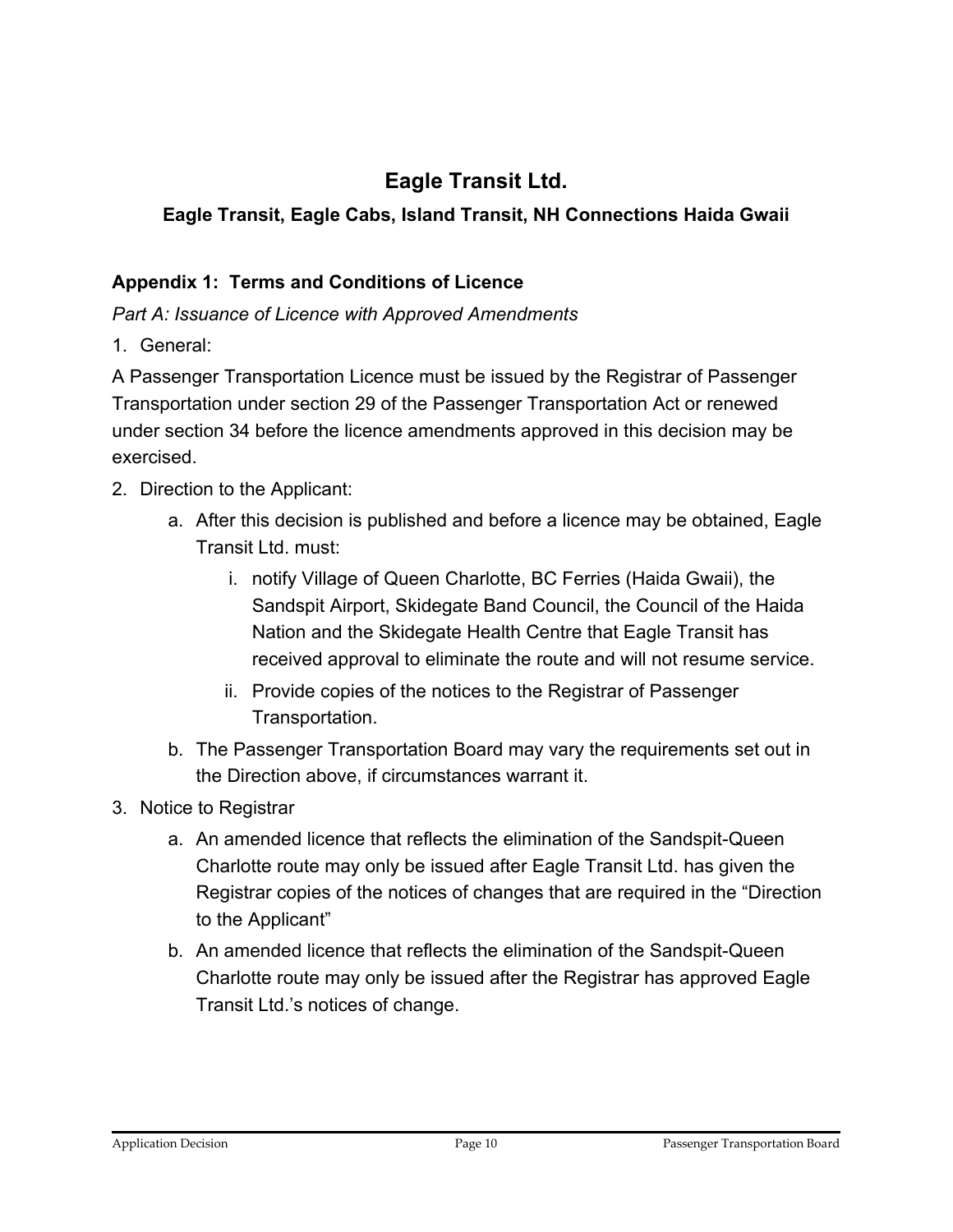## **Eagle Transit Ltd.**

#### **Eagle Transit, Eagle Cabs, Island Transit, NH Connections Haida Gwaii**

#### **Appendix 1: Terms and Conditions of Licence**

*Part A: Issuance of Licence with Approved Amendments*

1. General:

A Passenger Transportation Licence must be issued by the Registrar of Passenger Transportation under section 29 of the Passenger Transportation Act or renewed under section 34 before the licence amendments approved in this decision may be exercised.

- 2. Direction to the Applicant:
	- a. After this decision is published and before a licence may be obtained, Eagle Transit Ltd. must:
		- i. notify Village of Queen Charlotte, BC Ferries (Haida Gwaii), the Sandspit Airport, Skidegate Band Council, the Council of the Haida Nation and the Skidegate Health Centre that Eagle Transit has received approval to eliminate the route and will not resume service.
		- ii. Provide copies of the notices to the Registrar of Passenger Transportation.
	- b. The Passenger Transportation Board may vary the requirements set out in the Direction above, if circumstances warrant it.
- 3. Notice to Registrar
	- a. An amended licence that reflects the elimination of the Sandspit-Queen Charlotte route may only be issued after Eagle Transit Ltd. has given the Registrar copies of the notices of changes that are required in the "Direction to the Applicant"
	- b. An amended licence that reflects the elimination of the Sandspit-Queen Charlotte route may only be issued after the Registrar has approved Eagle Transit Ltd.'s notices of change.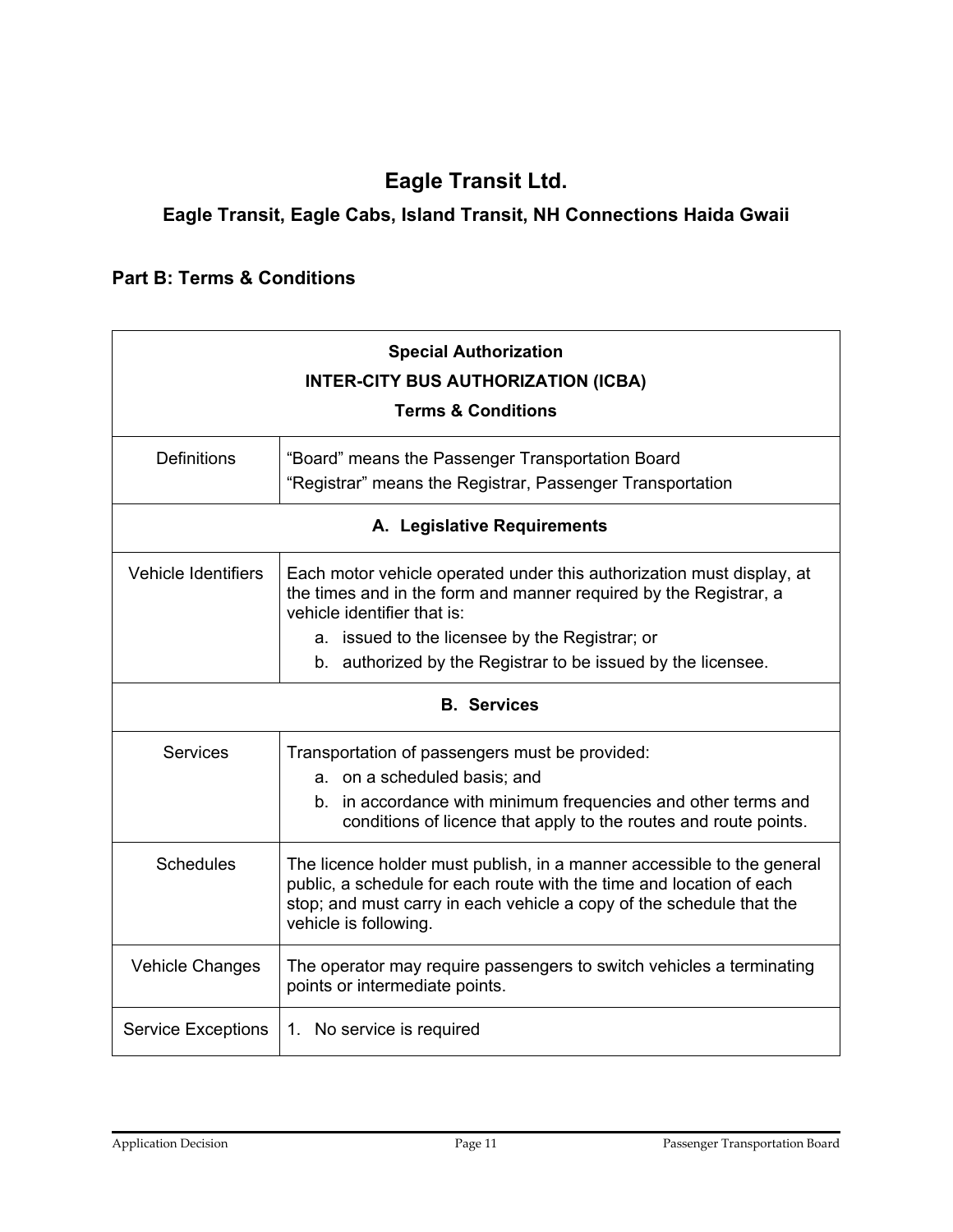### **Eagle Transit Ltd.**

#### **Eagle Transit, Eagle Cabs, Island Transit, NH Connections Haida Gwaii**

#### **Part B: Terms & Conditions**

| <b>Special Authorization</b><br><b>INTER-CITY BUS AUTHORIZATION (ICBA)</b><br><b>Terms &amp; Conditions</b> |                                                                                                                                                                                                                                                 |  |
|-------------------------------------------------------------------------------------------------------------|-------------------------------------------------------------------------------------------------------------------------------------------------------------------------------------------------------------------------------------------------|--|
| <b>Definitions</b>                                                                                          | "Board" means the Passenger Transportation Board<br>"Registrar" means the Registrar, Passenger Transportation                                                                                                                                   |  |
| A. Legislative Requirements                                                                                 |                                                                                                                                                                                                                                                 |  |
| <b>Vehicle Identifiers</b>                                                                                  | Each motor vehicle operated under this authorization must display, at<br>the times and in the form and manner required by the Registrar, a<br>vehicle identifier that is:                                                                       |  |
|                                                                                                             | a. issued to the licensee by the Registrar; or                                                                                                                                                                                                  |  |
|                                                                                                             | b. authorized by the Registrar to be issued by the licensee.                                                                                                                                                                                    |  |
| <b>B.</b> Services                                                                                          |                                                                                                                                                                                                                                                 |  |
| Services                                                                                                    | Transportation of passengers must be provided:<br>a. on a scheduled basis; and<br>b. in accordance with minimum frequencies and other terms and<br>conditions of licence that apply to the routes and route points.                             |  |
| <b>Schedules</b>                                                                                            | The licence holder must publish, in a manner accessible to the general<br>public, a schedule for each route with the time and location of each<br>stop; and must carry in each vehicle a copy of the schedule that the<br>vehicle is following. |  |
| <b>Vehicle Changes</b>                                                                                      | The operator may require passengers to switch vehicles a terminating<br>points or intermediate points.                                                                                                                                          |  |
| <b>Service Exceptions</b>                                                                                   | 1. No service is required                                                                                                                                                                                                                       |  |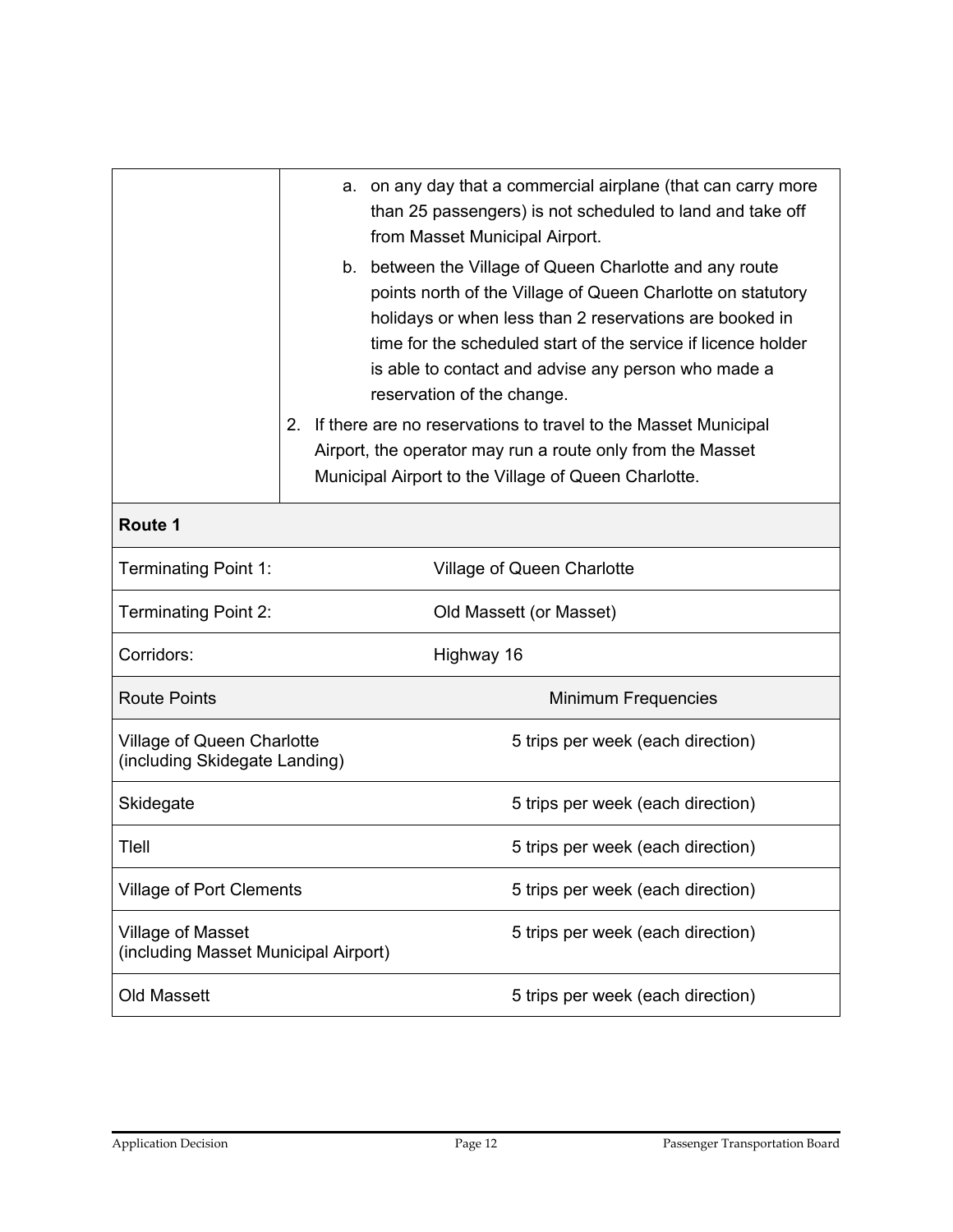|                                                                  | a. on any day that a commercial airplane (that can carry more<br>than 25 passengers) is not scheduled to land and take off<br>from Masset Municipal Airport.                                                                                                                                                                            |
|------------------------------------------------------------------|-----------------------------------------------------------------------------------------------------------------------------------------------------------------------------------------------------------------------------------------------------------------------------------------------------------------------------------------|
|                                                                  | b. between the Village of Queen Charlotte and any route<br>points north of the Village of Queen Charlotte on statutory<br>holidays or when less than 2 reservations are booked in<br>time for the scheduled start of the service if licence holder<br>is able to contact and advise any person who made a<br>reservation of the change. |
|                                                                  | 2 <sub>1</sub><br>If there are no reservations to travel to the Masset Municipal<br>Airport, the operator may run a route only from the Masset<br>Municipal Airport to the Village of Queen Charlotte.                                                                                                                                  |
| Route 1                                                          |                                                                                                                                                                                                                                                                                                                                         |
| <b>Terminating Point 1:</b>                                      | <b>Village of Queen Charlotte</b>                                                                                                                                                                                                                                                                                                       |
| <b>Terminating Point 2:</b>                                      | Old Massett (or Masset)                                                                                                                                                                                                                                                                                                                 |
| Corridors:                                                       | Highway 16                                                                                                                                                                                                                                                                                                                              |
| <b>Route Points</b>                                              | Minimum Frequencies                                                                                                                                                                                                                                                                                                                     |
| Village of Queen Charlotte<br>(including Skidegate Landing)      | 5 trips per week (each direction)                                                                                                                                                                                                                                                                                                       |
| Skidegate                                                        | 5 trips per week (each direction)                                                                                                                                                                                                                                                                                                       |
| Tlell                                                            | 5 trips per week (each direction)                                                                                                                                                                                                                                                                                                       |
| <b>Village of Port Clements</b>                                  | 5 trips per week (each direction)                                                                                                                                                                                                                                                                                                       |
| <b>Village of Masset</b><br>(including Masset Municipal Airport) | 5 trips per week (each direction)                                                                                                                                                                                                                                                                                                       |
| <b>Old Massett</b>                                               | 5 trips per week (each direction)                                                                                                                                                                                                                                                                                                       |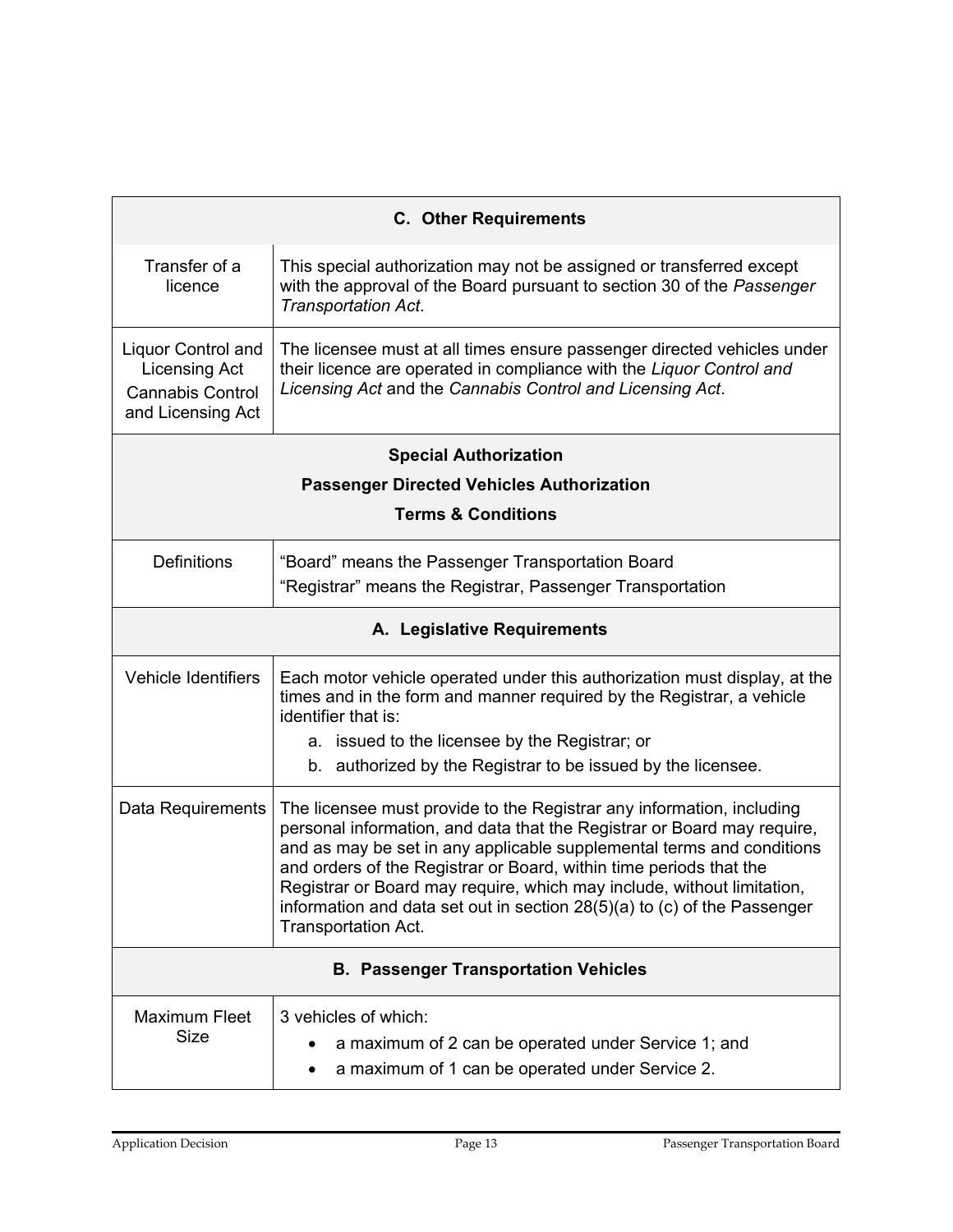| <b>C. Other Requirements</b>                                                                      |                                                                                                                                                                                                                                                                                                                                                                                                                                                                              |  |
|---------------------------------------------------------------------------------------------------|------------------------------------------------------------------------------------------------------------------------------------------------------------------------------------------------------------------------------------------------------------------------------------------------------------------------------------------------------------------------------------------------------------------------------------------------------------------------------|--|
| Transfer of a<br>licence                                                                          | This special authorization may not be assigned or transferred except<br>with the approval of the Board pursuant to section 30 of the Passenger<br>Transportation Act.                                                                                                                                                                                                                                                                                                        |  |
| <b>Liquor Control and</b><br><b>Licensing Act</b><br><b>Cannabis Control</b><br>and Licensing Act | The licensee must at all times ensure passenger directed vehicles under<br>their licence are operated in compliance with the Liquor Control and<br>Licensing Act and the Cannabis Control and Licensing Act.                                                                                                                                                                                                                                                                 |  |
| <b>Special Authorization</b>                                                                      |                                                                                                                                                                                                                                                                                                                                                                                                                                                                              |  |
| <b>Passenger Directed Vehicles Authorization</b>                                                  |                                                                                                                                                                                                                                                                                                                                                                                                                                                                              |  |
| <b>Terms &amp; Conditions</b>                                                                     |                                                                                                                                                                                                                                                                                                                                                                                                                                                                              |  |
| <b>Definitions</b>                                                                                | "Board" means the Passenger Transportation Board<br>"Registrar" means the Registrar, Passenger Transportation                                                                                                                                                                                                                                                                                                                                                                |  |
| A. Legislative Requirements                                                                       |                                                                                                                                                                                                                                                                                                                                                                                                                                                                              |  |
| <b>Vehicle Identifiers</b>                                                                        | Each motor vehicle operated under this authorization must display, at the<br>times and in the form and manner required by the Registrar, a vehicle<br>identifier that is:<br>a. issued to the licensee by the Registrar; or<br>b. authorized by the Registrar to be issued by the licensee.                                                                                                                                                                                  |  |
|                                                                                                   |                                                                                                                                                                                                                                                                                                                                                                                                                                                                              |  |
| Data Requirements                                                                                 | The licensee must provide to the Registrar any information, including<br>personal information, and data that the Registrar or Board may require,<br>and as may be set in any applicable supplemental terms and conditions<br>and orders of the Registrar or Board, within time periods that the<br>Registrar or Board may require, which may include, without limitation,<br>information and data set out in section 28(5)(a) to (c) of the Passenger<br>Transportation Act. |  |
| <b>B. Passenger Transportation Vehicles</b>                                                       |                                                                                                                                                                                                                                                                                                                                                                                                                                                                              |  |
| <b>Maximum Fleet</b><br><b>Size</b>                                                               | 3 vehicles of which:<br>a maximum of 2 can be operated under Service 1; and<br>a maximum of 1 can be operated under Service 2.                                                                                                                                                                                                                                                                                                                                               |  |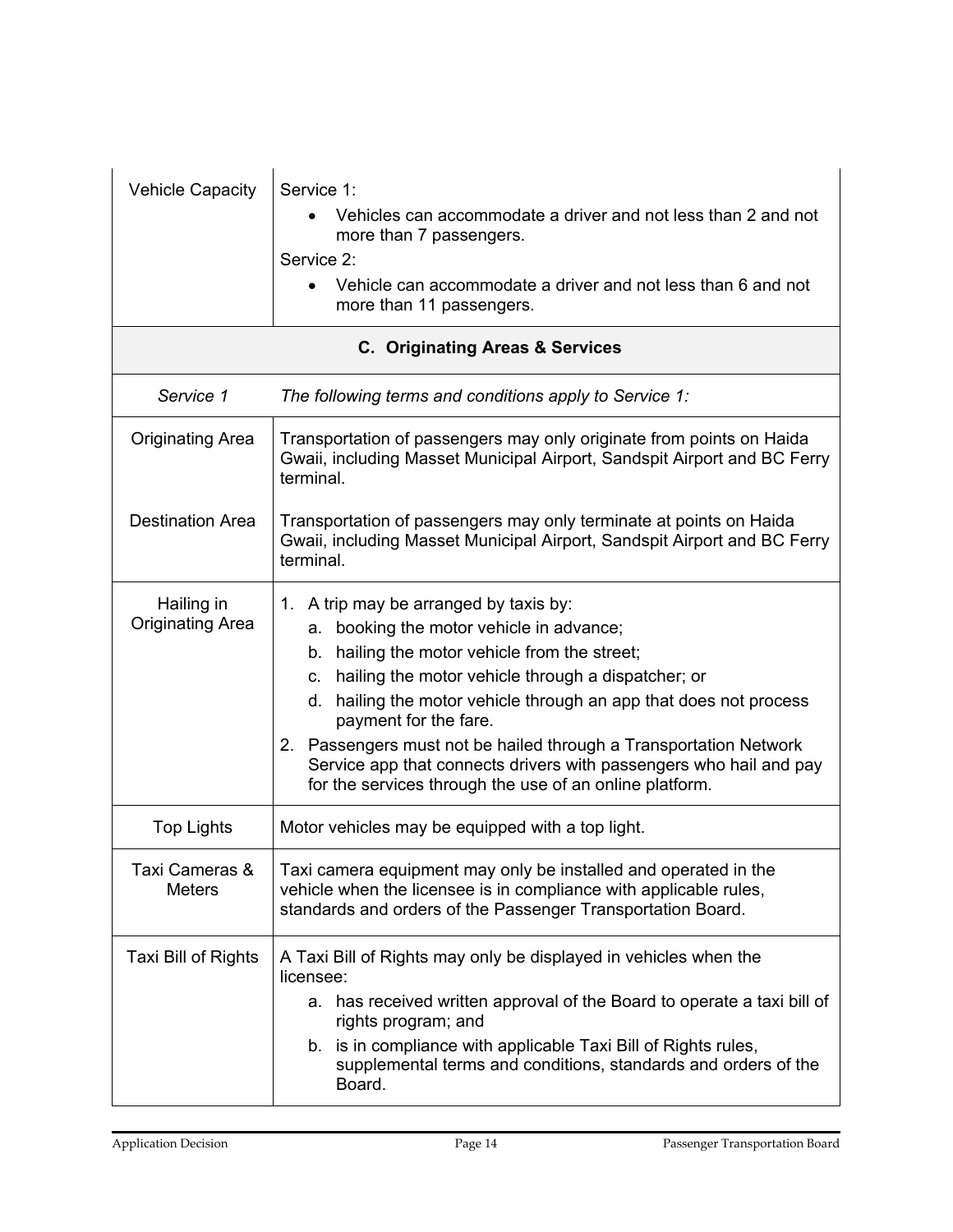| <b>Vehicle Capacity</b>               | Service 1:<br>Vehicles can accommodate a driver and not less than 2 and not<br>more than 7 passengers.<br>Service 2:<br>Vehicle can accommodate a driver and not less than 6 and not<br>more than 11 passengers.<br><b>C. Originating Areas &amp; Services</b>                                                                                                                                                                                                                                   |  |
|---------------------------------------|--------------------------------------------------------------------------------------------------------------------------------------------------------------------------------------------------------------------------------------------------------------------------------------------------------------------------------------------------------------------------------------------------------------------------------------------------------------------------------------------------|--|
|                                       |                                                                                                                                                                                                                                                                                                                                                                                                                                                                                                  |  |
| Service 1                             | The following terms and conditions apply to Service 1:                                                                                                                                                                                                                                                                                                                                                                                                                                           |  |
| <b>Originating Area</b>               | Transportation of passengers may only originate from points on Haida<br>Gwaii, including Masset Municipal Airport, Sandspit Airport and BC Ferry<br>terminal.                                                                                                                                                                                                                                                                                                                                    |  |
| <b>Destination Area</b>               | Transportation of passengers may only terminate at points on Haida<br>Gwaii, including Masset Municipal Airport, Sandspit Airport and BC Ferry<br>terminal.                                                                                                                                                                                                                                                                                                                                      |  |
| Hailing in<br><b>Originating Area</b> | 1. A trip may be arranged by taxis by:<br>a. booking the motor vehicle in advance;<br>b. hailing the motor vehicle from the street;<br>c. hailing the motor vehicle through a dispatcher; or<br>d. hailing the motor vehicle through an app that does not process<br>payment for the fare.<br>2. Passengers must not be hailed through a Transportation Network<br>Service app that connects drivers with passengers who hail and pay<br>for the services through the use of an online platform. |  |
| <b>Top Lights</b>                     | Motor vehicles may be equipped with a top light.                                                                                                                                                                                                                                                                                                                                                                                                                                                 |  |
| Taxi Cameras &<br>Meters              | Taxi camera equipment may only be installed and operated in the<br>vehicle when the licensee is in compliance with applicable rules,<br>standards and orders of the Passenger Transportation Board.                                                                                                                                                                                                                                                                                              |  |
| Taxi Bill of Rights                   | A Taxi Bill of Rights may only be displayed in vehicles when the<br>licensee:<br>a. has received written approval of the Board to operate a taxi bill of<br>rights program; and<br>b. is in compliance with applicable Taxi Bill of Rights rules,<br>supplemental terms and conditions, standards and orders of the<br>Board.                                                                                                                                                                    |  |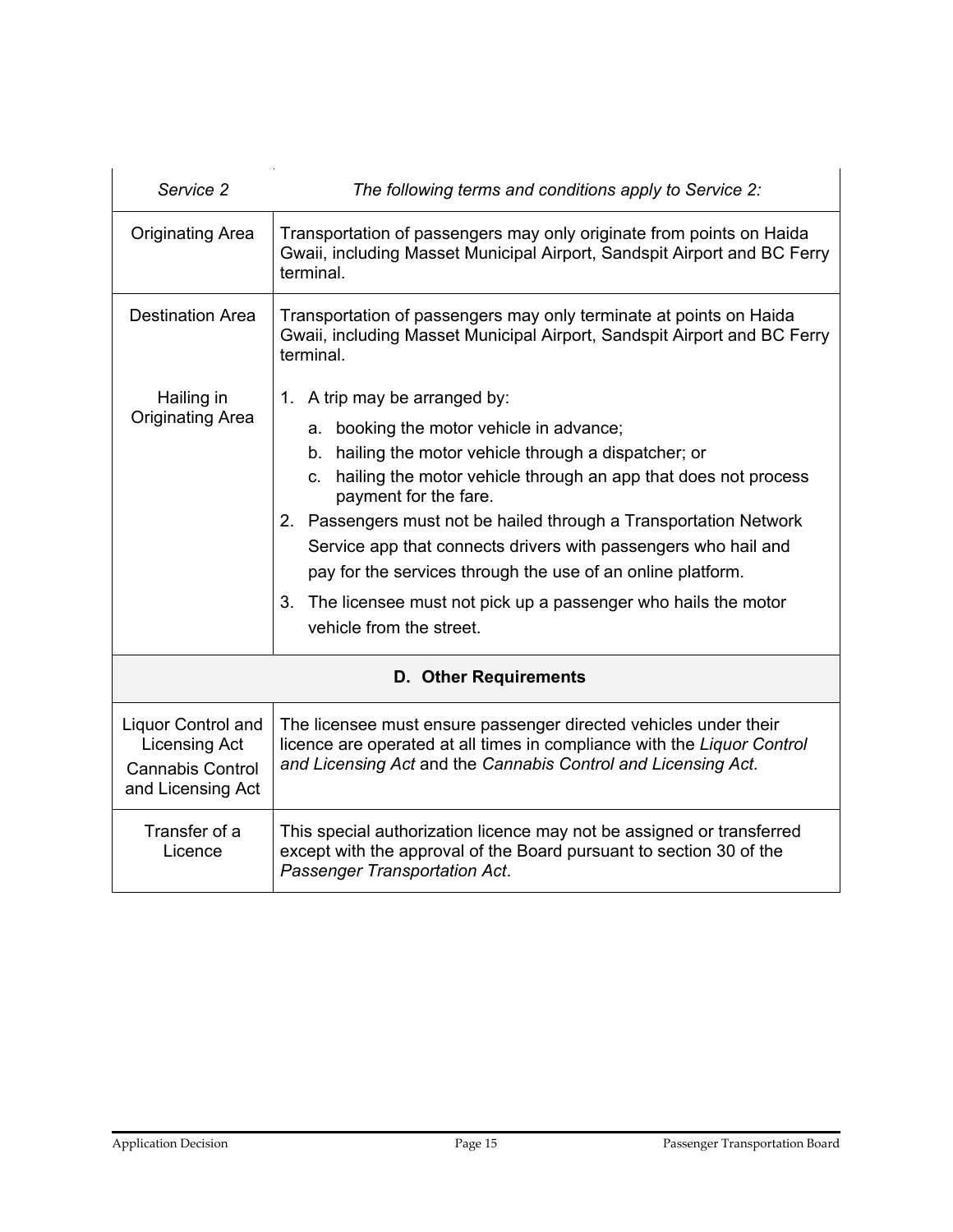| Service 2                                                                                         | The following terms and conditions apply to Service 2:                                                                                                                                                                                                                                                                                                                                                                                                                                                                                    |  |
|---------------------------------------------------------------------------------------------------|-------------------------------------------------------------------------------------------------------------------------------------------------------------------------------------------------------------------------------------------------------------------------------------------------------------------------------------------------------------------------------------------------------------------------------------------------------------------------------------------------------------------------------------------|--|
| <b>Originating Area</b>                                                                           | Transportation of passengers may only originate from points on Haida<br>Gwaii, including Masset Municipal Airport, Sandspit Airport and BC Ferry<br>terminal.                                                                                                                                                                                                                                                                                                                                                                             |  |
| <b>Destination Area</b>                                                                           | Transportation of passengers may only terminate at points on Haida<br>Gwaii, including Masset Municipal Airport, Sandspit Airport and BC Ferry<br>terminal.                                                                                                                                                                                                                                                                                                                                                                               |  |
| Hailing in<br><b>Originating Area</b>                                                             | 1. A trip may be arranged by:<br>a. booking the motor vehicle in advance;<br>b. hailing the motor vehicle through a dispatcher; or<br>c. hailing the motor vehicle through an app that does not process<br>payment for the fare.<br>2. Passengers must not be hailed through a Transportation Network<br>Service app that connects drivers with passengers who hail and<br>pay for the services through the use of an online platform.<br>The licensee must not pick up a passenger who hails the motor<br>3.<br>vehicle from the street. |  |
| <b>D. Other Requirements</b>                                                                      |                                                                                                                                                                                                                                                                                                                                                                                                                                                                                                                                           |  |
| <b>Liquor Control and</b><br><b>Licensing Act</b><br><b>Cannabis Control</b><br>and Licensing Act | The licensee must ensure passenger directed vehicles under their<br>licence are operated at all times in compliance with the Liquor Control<br>and Licensing Act and the Cannabis Control and Licensing Act.                                                                                                                                                                                                                                                                                                                              |  |
| Transfer of a<br>Licence                                                                          | This special authorization licence may not be assigned or transferred<br>except with the approval of the Board pursuant to section 30 of the<br>Passenger Transportation Act.                                                                                                                                                                                                                                                                                                                                                             |  |